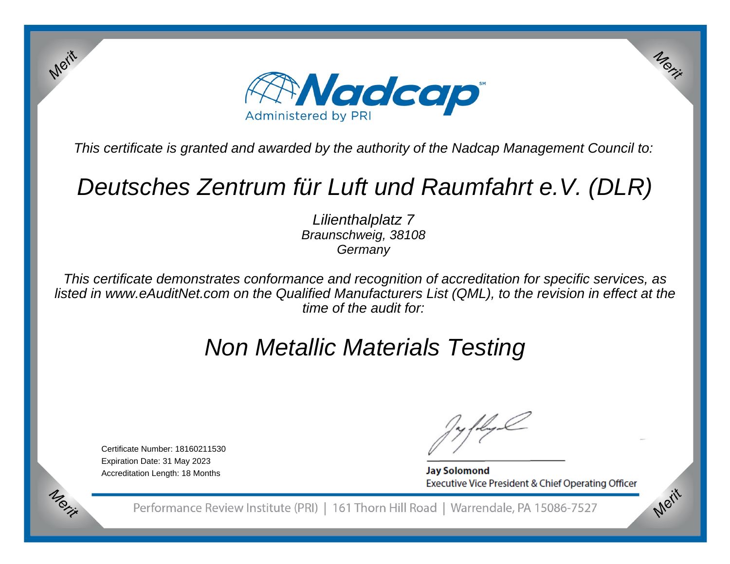

This certificate is granted and awarded by the authority of the Nadcap Management Council to:

# Deutsches Zentrum für Luft und Raumfahrt e.V. (DLR)

Lilienthalplatz 7 Braunschweig, 38108**Germany** 

This certificate demonstrates conformance and recognition of accreditation for specific services, as listed in www.eAuditNet.com on the Qualified Manufacturers List (QML), to the revision in effect at thetime of the audit for:

# Non Metallic Materials Testing

Certificate Number: 18160211530Expiration Date: 31 May 2023Accreditation Length: 18 Months

Merit

Merit

**Jay Solomond** Executive Vice President & Chief Operating Officer Merit

Merit

Performance Review Institute (PRI) | 161 Thorn Hill Road | Warrendale, PA 15086-7527